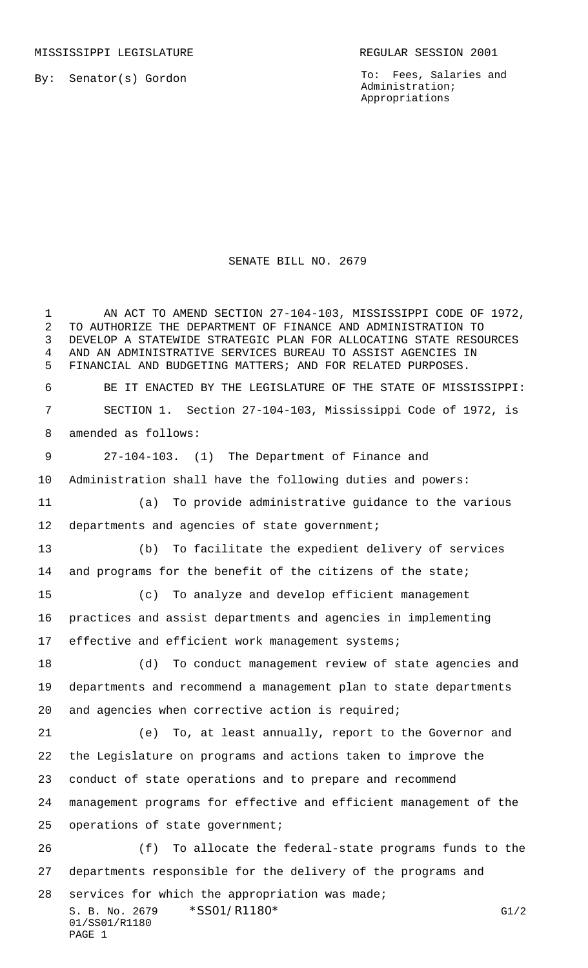MISSISSIPPI LEGISLATURE **REGULAR SESSION 2001** 

By: Senator(s) Gordon

To: Fees, Salaries and Administration; Appropriations

## SENATE BILL NO. 2679

S. B. No. 2679 \* SSO1/R1180\* G1/2 01/SS01/R1180 PAGE 1 AN ACT TO AMEND SECTION 27-104-103, MISSISSIPPI CODE OF 1972, TO AUTHORIZE THE DEPARTMENT OF FINANCE AND ADMINISTRATION TO DEVELOP A STATEWIDE STRATEGIC PLAN FOR ALLOCATING STATE RESOURCES AND AN ADMINISTRATIVE SERVICES BUREAU TO ASSIST AGENCIES IN FINANCIAL AND BUDGETING MATTERS; AND FOR RELATED PURPOSES. BE IT ENACTED BY THE LEGISLATURE OF THE STATE OF MISSISSIPPI: SECTION 1. Section 27-104-103, Mississippi Code of 1972, is amended as follows: 27-104-103. (1) The Department of Finance and Administration shall have the following duties and powers: (a) To provide administrative guidance to the various 12 departments and agencies of state government; (b) To facilitate the expedient delivery of services 14 and programs for the benefit of the citizens of the state; (c) To analyze and develop efficient management practices and assist departments and agencies in implementing 17 effective and efficient work management systems; (d) To conduct management review of state agencies and departments and recommend a management plan to state departments and agencies when corrective action is required; (e) To, at least annually, report to the Governor and the Legislature on programs and actions taken to improve the conduct of state operations and to prepare and recommend management programs for effective and efficient management of the operations of state government; (f) To allocate the federal-state programs funds to the departments responsible for the delivery of the programs and services for which the appropriation was made;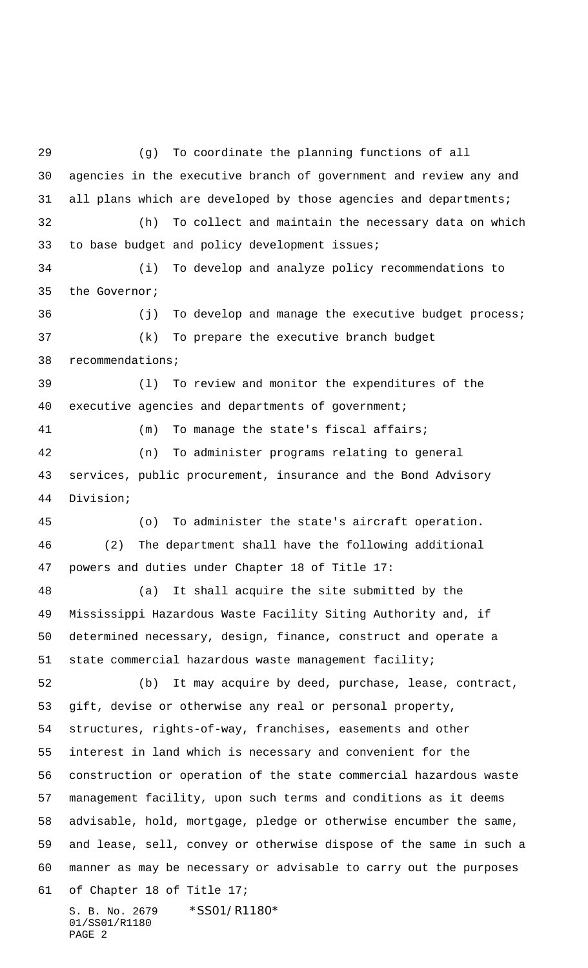S. B. No. 2679 \* SS01/R1180\* 01/SS01/R1180 (g) To coordinate the planning functions of all agencies in the executive branch of government and review any and all plans which are developed by those agencies and departments; (h) To collect and maintain the necessary data on which to base budget and policy development issues; (i) To develop and analyze policy recommendations to the Governor; 36 (j) To develop and manage the executive budget process; (k) To prepare the executive branch budget recommendations; (l) To review and monitor the expenditures of the executive agencies and departments of government; (m) To manage the state's fiscal affairs; (n) To administer programs relating to general services, public procurement, insurance and the Bond Advisory Division; (o) To administer the state's aircraft operation. (2) The department shall have the following additional powers and duties under Chapter 18 of Title 17: (a) It shall acquire the site submitted by the Mississippi Hazardous Waste Facility Siting Authority and, if determined necessary, design, finance, construct and operate a state commercial hazardous waste management facility; (b) It may acquire by deed, purchase, lease, contract, gift, devise or otherwise any real or personal property, structures, rights-of-way, franchises, easements and other interest in land which is necessary and convenient for the construction or operation of the state commercial hazardous waste management facility, upon such terms and conditions as it deems advisable, hold, mortgage, pledge or otherwise encumber the same, and lease, sell, convey or otherwise dispose of the same in such a manner as may be necessary or advisable to carry out the purposes of Chapter 18 of Title 17;

PAGE 2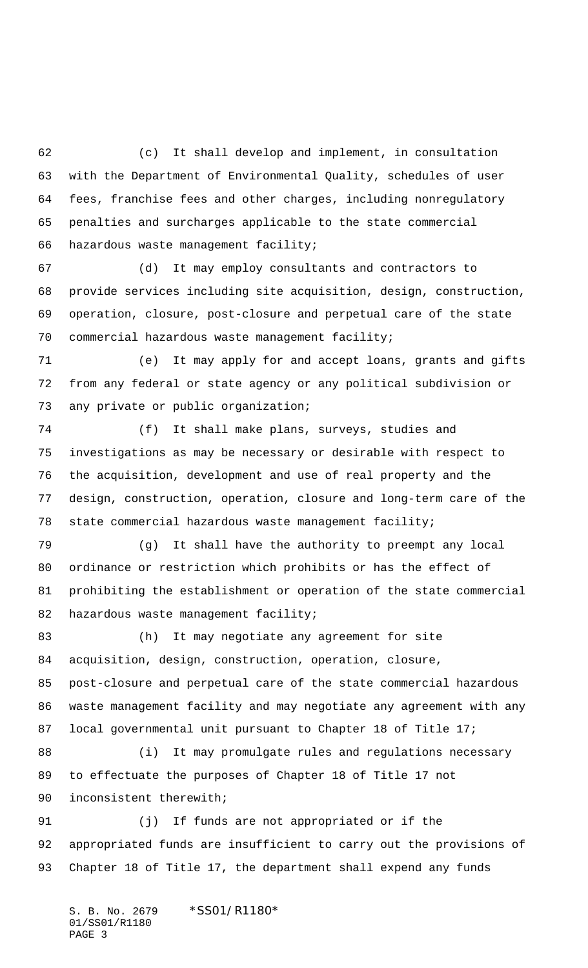(c) It shall develop and implement, in consultation with the Department of Environmental Quality, schedules of user fees, franchise fees and other charges, including nonregulatory penalties and surcharges applicable to the state commercial hazardous waste management facility;

 (d) It may employ consultants and contractors to provide services including site acquisition, design, construction, operation, closure, post-closure and perpetual care of the state commercial hazardous waste management facility;

 (e) It may apply for and accept loans, grants and gifts from any federal or state agency or any political subdivision or any private or public organization;

 (f) It shall make plans, surveys, studies and investigations as may be necessary or desirable with respect to the acquisition, development and use of real property and the design, construction, operation, closure and long-term care of the state commercial hazardous waste management facility;

 (g) It shall have the authority to preempt any local ordinance or restriction which prohibits or has the effect of prohibiting the establishment or operation of the state commercial 82 hazardous waste management facility;

 (h) It may negotiate any agreement for site acquisition, design, construction, operation, closure, post-closure and perpetual care of the state commercial hazardous waste management facility and may negotiate any agreement with any local governmental unit pursuant to Chapter 18 of Title 17;

88 (i) It may promulgate rules and regulations necessary to effectuate the purposes of Chapter 18 of Title 17 not inconsistent therewith;

 (j) If funds are not appropriated or if the appropriated funds are insufficient to carry out the provisions of Chapter 18 of Title 17, the department shall expend any funds

S. B. No. 2679 \* SS01/R1180\* 01/SS01/R1180 PAGE 3